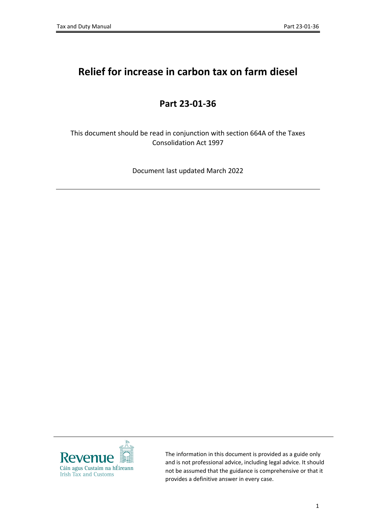# **Relief for increase in carbon tax on farm diesel**

#### **Part 23-01-36**

This document should be read in conjunction with section 664A of the Taxes Consolidation Act 1997

Document last updated March 2022



The information in this document is provided as a guide only and is not professional advice, including legal advice. It should not be assumed that the guidance is comprehensive or that it provides a definitive answer in every case.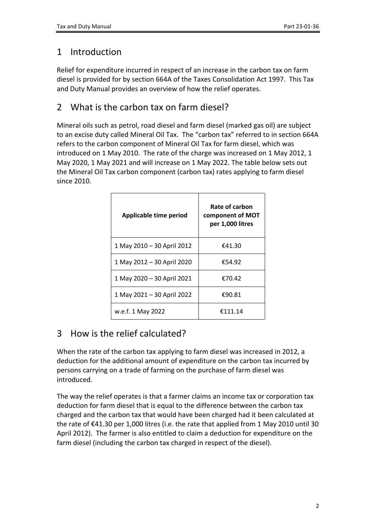### 1 Introduction

Relief for expenditure incurred in respect of an increase in the carbon tax on farm diesel is provided for by section 664A of the Taxes Consolidation Act 1997. This Tax and Duty Manual provides an overview of how the relief operates.

### 2 What is the carbon tax on farm diesel?

Mineral oils such as petrol, road diesel and farm diesel (marked gas oil) are subject to an excise duty called Mineral Oil Tax. The "carbon tax" referred to in section 664A refers to the carbon component of Mineral Oil Tax for farm diesel, which was introduced on 1 May 2010. The rate of the charge was increased on 1 May 2012, 1 May 2020, 1 May 2021 and will increase on 1 May 2022. The table below sets out the Mineral Oil Tax carbon component (carbon tax) rates applying to farm diesel since 2010.

| Applicable time period     | Rate of carbon<br>component of MOT<br>per 1,000 litres |
|----------------------------|--------------------------------------------------------|
| 1 May 2010 - 30 April 2012 | €41.30                                                 |
| 1 May 2012 - 30 April 2020 | €54.92                                                 |
| 1 May 2020 - 30 April 2021 | €70.42                                                 |
| 1 May 2021 - 30 April 2022 | €90.81                                                 |
| w.e.f. 1 May 2022          | €111.14                                                |

# 3 How is the relief calculated?

When the rate of the carbon tax applying to farm diesel was increased in 2012, a deduction for the additional amount of expenditure on the carbon tax incurred by persons carrying on a trade of farming on the purchase of farm diesel was introduced.

The way the relief operates is that a farmer claims an income tax or corporation tax deduction for farm diesel that is equal to the difference between the carbon tax charged and the carbon tax that would have been charged had it been calculated at the rate of €41.30 per 1,000 litres (i.e. the rate that applied from 1 May 2010 until 30 April 2012). The farmer is also entitled to claim a deduction for expenditure on the farm diesel (including the carbon tax charged in respect of the diesel).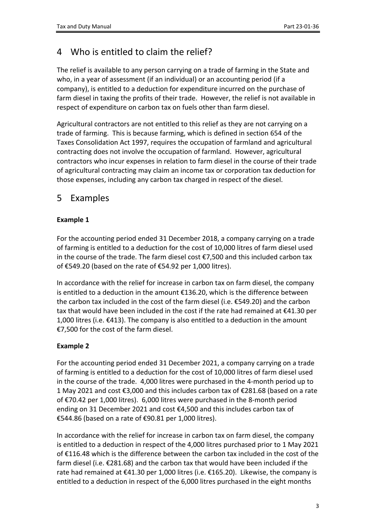# 4 Who is entitled to claim the relief?

The relief is available to any person carrying on a trade of farming in the State and who, in a year of assessment (if an individual) or an accounting period (if a company), is entitled to a deduction for expenditure incurred on the purchase of farm diesel in taxing the profits of their trade. However, the relief is not available in respect of expenditure on carbon tax on fuels other than farm diesel.

Agricultural contractors are not entitled to this relief as they are not carrying on a trade of farming. This is because farming, which is defined in section 654 of the Taxes Consolidation Act 1997, requires the occupation of farmland and agricultural contracting does not involve the occupation of farmland. However, agricultural contractors who incur expenses in relation to farm diesel in the course of their trade of agricultural contracting may claim an income tax or corporation tax deduction for those expenses, including any carbon tax charged in respect of the diesel.

#### 5 Examples

#### **Example 1**

For the accounting period ended 31 December 2018, a company carrying on a trade of farming is entitled to a deduction for the cost of 10,000 litres of farm diesel used in the course of the trade. The farm diesel cost €7,500 and this included carbon tax of €549.20 (based on the rate of €54.92 per 1,000 litres).

In accordance with the relief for increase in carbon tax on farm diesel, the company is entitled to a deduction in the amount €136.20, which is the difference between the carbon tax included in the cost of the farm diesel (i.e. €549.20) and the carbon tax that would have been included in the cost if the rate had remained at  $\epsilon$ 41.30 per 1,000 litres (i.e. €413). The company is also entitled to a deduction in the amount €7,500 for the cost of the farm diesel.

#### **Example 2**

For the accounting period ended 31 December 2021, a company carrying on a trade of farming is entitled to a deduction for the cost of 10,000 litres of farm diesel used in the course of the trade. 4,000 litres were purchased in the 4-month period up to 1 May 2021 and cost €3,000 and this includes carbon tax of €281.68 (based on a rate of €70.42 per 1,000 litres). 6,000 litres were purchased in the 8-month period ending on 31 December 2021 and cost €4,500 and this includes carbon tax of €544.86 (based on a rate of €90.81 per 1,000 litres).

In accordance with the relief for increase in carbon tax on farm diesel, the company is entitled to a deduction in respect of the 4,000 litres purchased prior to 1 May 2021 of €116.48 which is the difference between the carbon tax included in the cost of the farm diesel (i.e. €281.68) and the carbon tax that would have been included if the rate had remained at €41.30 per 1,000 litres (i.e. €165.20). Likewise, the company is entitled to a deduction in respect of the 6,000 litres purchased in the eight months